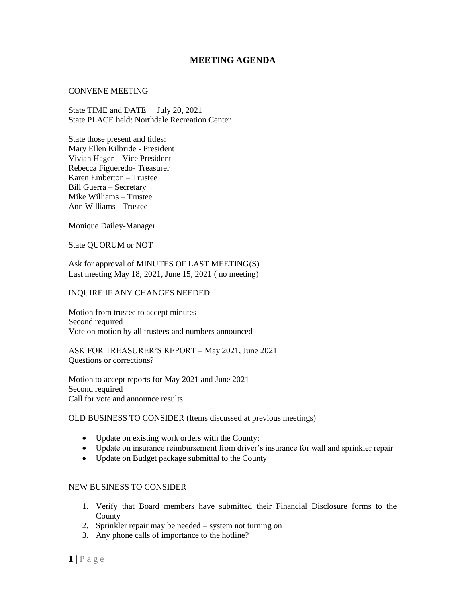# **MEETING AGENDA**

#### CONVENE MEETING

State TIME and DATE July 20, 2021 State PLACE held: Northdale Recreation Center

State those present and titles: Mary Ellen Kilbride - President Vivian Hager – Vice President Rebecca Figueredo- Treasurer Karen Emberton – Trustee Bill Guerra – Secretary Mike Williams – Trustee Ann Williams - Trustee

Monique Dailey-Manager

State QUORUM or NOT

Ask for approval of MINUTES OF LAST MEETING(S) Last meeting May 18, 2021, June 15, 2021 ( no meeting)

#### INQUIRE IF ANY CHANGES NEEDED

Motion from trustee to accept minutes Second required Vote on motion by all trustees and numbers announced

ASK FOR TREASURER'S REPORT – May 2021, June 2021 Questions or corrections?

Motion to accept reports for May 2021 and June 2021 Second required Call for vote and announce results

## OLD BUSINESS TO CONSIDER (Items discussed at previous meetings)

- Update on existing work orders with the County:
- Update on insurance reimbursement from driver's insurance for wall and sprinkler repair
- Update on Budget package submittal to the County

### NEW BUSINESS TO CONSIDER

- 1. Verify that Board members have submitted their Financial Disclosure forms to the County
- 2. Sprinkler repair may be needed system not turning on
- 3. Any phone calls of importance to the hotline?